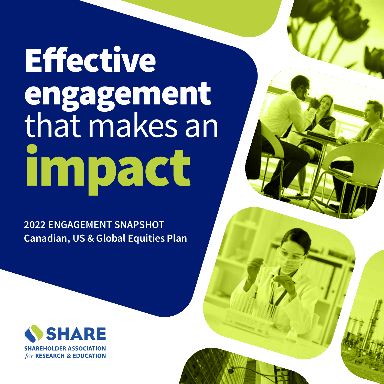# **Effective** engagement that makes an impact

2022 ENGAGEMENT SNAPSHOT Canadian, US & Global Equities Plan

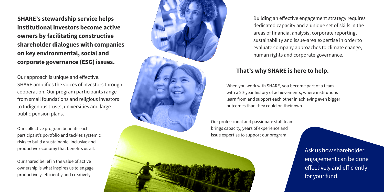SHARE's stewardship service helps institutional investors become active owners by facilitating constructive shareholder dialogues with companies on key environmental, social and corporate governance (ESG) issues.

Our approach is unique and effective. SHARE amplifies the voices of investors through cooperation. Our program participants range from small foundations and religious investors to Indigenous trusts, universities and large public pension plans.

> Ask us how shareholder engagement can be done effectively and efficiently for your fund.

Our collective program benefits each participant's portfolio and tackles systemic risks to build a sustainable, inclusive and productive economy that benefits us all.

Our shared belief in the value of active ownership is what inspires us to engage productively, efficiently and creatively.



Building an effective engagement strategy requires dedicated capacity and a unique set of skills in the areas of financial analysis, corporate reporting, sustainability and issue-area expertise in order to evaluate company approaches to climate change, human rights and corporate governance.

### That's why SHARE is here to help.

When you work with SHARE, you become part of a team with a 20-year history of achievements, where institutions learn from and support each other in achieving even bigger outcomes than they could on their own.

Our professional and passionate staff team brings capacity, years of experience and issue expertise to support our program.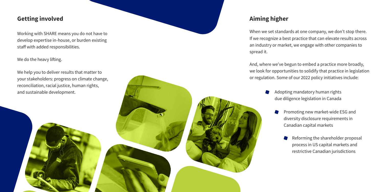When we set standards at one company, we don't stop there. If we recognize a best practice that can elevate results across an industry or market, we engage with other companies to spread it.

And, where we've begun to embed a practice more broadly, we look for opportunities to solidify that practice in legislation or regulation. Some of our 2022 policy initiatives include:

- - -

### Getting involved and the contract of the contract of the contract of the contract of the contract of the contract of the contract of the contract of the contract of the contract of the contract of the contract of the contr

Working with SHARE means you do not have to develop expertise in-house, or burden existing staff with added responsibilities.

### We do the heavy lifting.

We help you to deliver results that matter to your stakeholders: progress on climate change, reconciliation, racial justice, human rights, and sustainable development.

Adopting mandatory human rights due diligence legislation in Canada

> Promoting new market-wide ESG and diversity disclosure requirements in Canadian capital markets

> > Reforming the shareholder proposal process in US capital markets and restrictive Canadian jurisdictions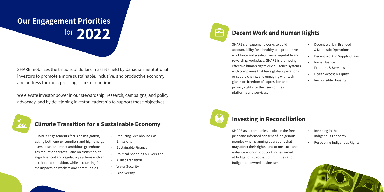SHARE's engagements focus on mitigation, asking both energy suppliers and high-energy users to set and meet ambitious greenhouse gas reduction targets – and on transition, to align financial and regulatory systems with an accelerated transition, while accounting for the impacts on workers and communities.

## Our Engagement Priorities for 2022

- Reducing Greenhouse Gas Emissions
- Sustainable Finance
- Political Spending & Oversight
- A Just Transition
- **Water Security**
- **Biodiversity**



### Climate Transition for a Sustainable Economy

SHARE's engagement works to build accountability for a healthy and productive workforce and a safe, diverse, equitable and rewarding workplace. SHARE is promoting effective human rights due diligence systems with companies that have global operations or supply chains, and engaging with tech giants on freedom of expression and privacy rights for the users of their platforms and services.



## Decent Work and Human Rights

- Decent Work in Branded & Domestic Operations
- Decent Work in Supply Chains
- Racial Justice in
- Products & Services
- Health Access & Equity
- Responsible Housing

SHARE asks companies to obtain the free, prior and informed consent of Indigenous peoples when planning operations that may affect their rights, and to measure and enhance economic opportunities aimed at Indigenous people, communities and Indigenous-owned businesses.

### Investing in Reconciliation

- Investing in the Indigenous Economy
- Respecting Indigenous Rights



SHARE mobilizes the trillions of dollars in assets held by Canadian institutional investors to promote a more sustainable, inclusive, and productive economy and address the most pressing issues of our time.

We elevate investor power in our stewardship, research, campaigns, and policy advocacy, and by developing investor leadership to support these objectives.